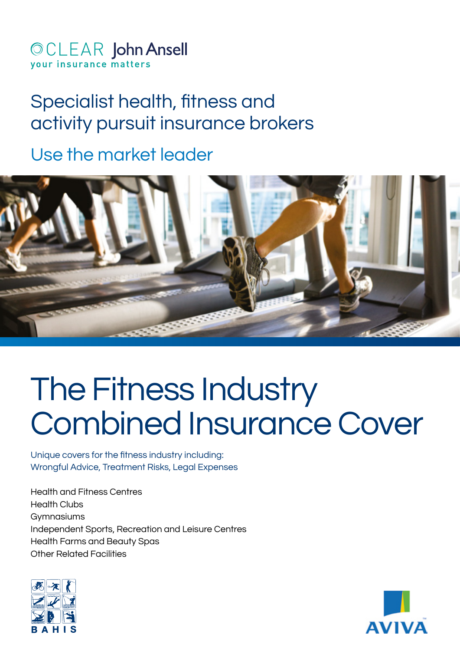# **©CLEAR John Ansell** vour insurance matters

# Specialist health, fitness and activity pursuit insurance brokers

Use the market leader



# The Fitness Industry Combined Insurance Cover

Unique covers for the fitness industry including: Wrongful Advice, Treatment Risks, Legal Expenses

Health and Fitness Centres Health Clubs **Gymnasiums** Independent Sports, Recreation and Leisure Centres Health Farms and Beauty Spas Other Related Facilities



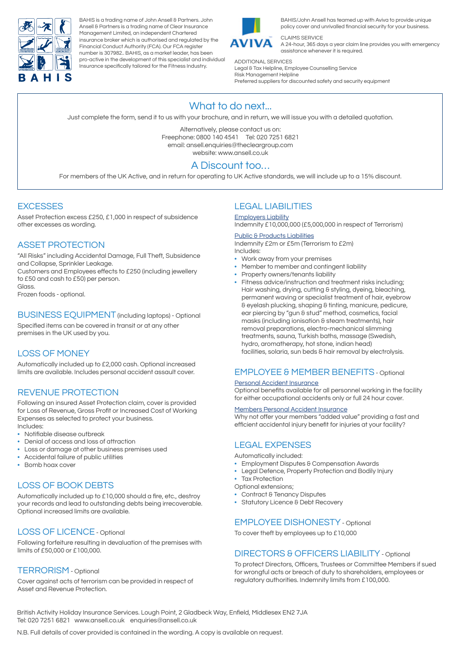

BAHIS is a trading name of John Ansell & Partners. John Ansell & Partners is a trading name of Clear Insurance Management Limited, an independent Chartered insurance broker which is authorised and regulated by the Financial Conduct Authority (FCA). Our FCA register number is 307982.. BAHIS, as a market leader, has been pro-active in the development of this specialist and individual Insurance specifically tailored for the Fitness Industry.



BAHIS/John Ansell has teamed up with Aviva to provide unique policy cover and unrivalled financial security for your business.

CLAIMS SERVICE A 24-hour, 365 days a year claim line provides you with emergency assistance whenever it is required.

ADDITIONAL SERVICES Legal & Tax Helpline, Employee Counselling Service Risk Management Helpline Preferred suppliers for discounted safety and security equipment

# What to do next...

Just complete the form, send it to us with your brochure, and in return, we will issue you with a detailed quotation.

Alternatively, please contact us on: Freephone: 0800 140 4541 Tel: 020 7251 6821 email: ansell.enquiries@thecleargroup.com website: www.ansell.co.uk

# A Discount too…

For members of the UK Active, and in return for operating to UK Active standards, we will include up to a 15% discount.

# **EXCESSES**

Asset Protection excess £250, £1,000 in respect of subsidence other excesses as wording.

# ASSET PROTECTION

"All Risks" including Accidental Damage, Full Theft, Subsidence and Collapse, Sprinkler Leakage. Customers and Employees effects to £250 (including jewellery to £50 and cash to £50) per person. Glass

Frozen foods - optional.

BUSINESS EQUIPMENT (including laptops) - Optional Specified items can be covered in transit or at any other premises in the UK used by you.

# LOSS OF MONEY

Automatically included up to £2,000 cash. Optional increased limits are available. Includes personal accident assault cover.

# REVENUE PROTECTION

Following an insured Asset Protection claim, cover is provided for Loss of Revenue, Gross Profit or Increased Cost of Working Expenses as selected to protect your business. Includes:

- Notifiable disease outbreak
- Denial of access and loss of attraction
- Loss or damage at other business premises used
- Accidental failure of public utilities
- Bomb hoax cover

# LOSS OF BOOK DEBTS

Automatically included up to £10,000 should a fire, etc., destroy your records and lead to outstanding debts being irrecoverable. Optional increased limits are available.

### LOSS OF LICENCE - Optional

Following forfeiture resulting in devaluation of the premises with limits of £50,000 or £100,000.

#### TERRORISM - Optional

Cover against acts of terrorism can be provided in respect of Asset and Revenue Protection.

# LEGAL LIABILITIES

Employers Liability Indemnity £10,000,000 (£5,000,000 in respect of Terrorism)

#### **Public & Products Liabilities**

Indemnity £2m or £5m (Terrorism to £2m) Includes:

- Work away from your premises
- Member to member and contingent liability
- Property owners/tenants liability
- Fitness advice/instruction and treatment risks including; Hair washing, drying, cutting & styling, dyeing, bleaching, permanent waving or specialist treatment of hair, eyebrow & eyelash plucking, shaping & tinting, manicure, pedicure, ear piercing by "gun & stud" method, cosmetics, facial masks (including ionisation & steam treatments), hair removal preparations, electro-mechanical slimming treatments, sauna, Turkish baths, massage (Swedish, hydro, aromatherapy, hot stone, indian head) facilities, solaria, sun beds & hair removal by electrolysis.

# EMPLOYEE & MEMBER BENEFITS - Optional

#### Personal Accident Insurance

Optional benefits available for all personnel working in the facility for either occupational accidents only or full 24 hour cover.

#### Members Personal Accident Insurance

Why not offer your members "added value" providing a fast and efficient accidental injury benefit for injuries at your facility?

# LEGAL EXPENSES

Automatically included:

- Employment Disputes & Compensation Awards
- Legal Defence, Property Protection and Bodily Injury
- **Tax Protection**
- Optional extensions;
- Contract & Tenancy Disputes
- Statutory Licence & Debt Recovery

#### EMPLOYEE DISHONESTY - Optional

To cover theft by employees up to £10,000

#### DIRECTORS & OFFICERS LIABILITY - Optional

To protect Directors, Officers, Trustees or Committee Members if sued for wrongful acts or breach of duty to shareholders, employees or regulatory authorities. Indemnity limits from £100,000.

British Activity Holiday Insurance Services. Lough Point, 2 Gladbeck Way, Enfield, Middlesex EN2 7JA Tel: 020 7251 6821 www.ansell.co.uk enquiries@ansell.co.uk

N.B. Full details of cover provided is contained in the wording. A copy is available on request.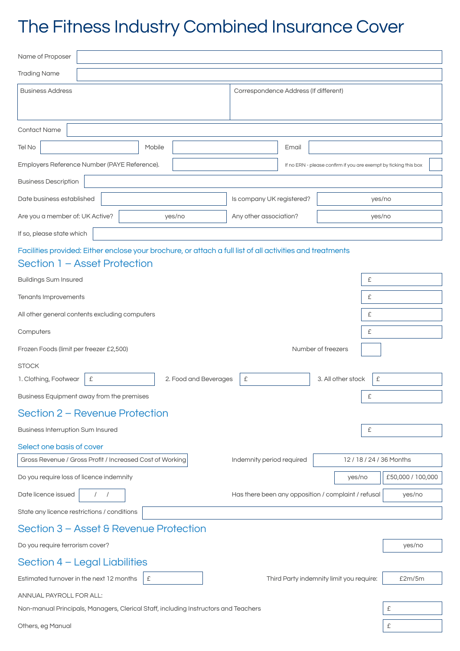# The Fitness Industry Combined Insurance Cover

| Name of Proposer                                                                                          |                                                     |                                                                  |                   |  |  |
|-----------------------------------------------------------------------------------------------------------|-----------------------------------------------------|------------------------------------------------------------------|-------------------|--|--|
| <b>Trading Name</b>                                                                                       |                                                     |                                                                  |                   |  |  |
| <b>Business Address</b>                                                                                   | Correspondence Address (If different)               |                                                                  |                   |  |  |
|                                                                                                           |                                                     |                                                                  |                   |  |  |
| <b>Contact Name</b>                                                                                       |                                                     |                                                                  |                   |  |  |
| Tel No<br>Mobile                                                                                          | Email                                               |                                                                  |                   |  |  |
| Employers Reference Number (PAYE Reference).                                                              |                                                     | If no ERN - please confirm if you are exempt by ticking this box |                   |  |  |
| <b>Business Description</b>                                                                               |                                                     |                                                                  |                   |  |  |
| Date business established<br>Is company UK registered?                                                    |                                                     |                                                                  | yes/no            |  |  |
| Are you a member of: UK Active?<br>yes/no                                                                 | Any other association?                              | yes/no                                                           |                   |  |  |
| If so, please state which                                                                                 |                                                     |                                                                  |                   |  |  |
| Facilities provided: Either enclose your brochure, or attach a full list of all activities and treatments |                                                     |                                                                  |                   |  |  |
| Section 1 - Asset Protection                                                                              |                                                     |                                                                  |                   |  |  |
| <b>Buildings Sum Insured</b>                                                                              |                                                     | £                                                                |                   |  |  |
| Tenants Improvements<br>£                                                                                 |                                                     |                                                                  |                   |  |  |
| All other general contents excluding computers                                                            |                                                     | £                                                                |                   |  |  |
| Computers                                                                                                 |                                                     | £                                                                |                   |  |  |
| Frozen Foods (limit per freezer £2,500)                                                                   |                                                     | Number of freezers                                               |                   |  |  |
| <b>STOCK</b>                                                                                              |                                                     |                                                                  |                   |  |  |
| 1. Clothing, Footwear<br>£<br>2. Food and Beverages                                                       | £                                                   | 3. All other stock<br>£                                          |                   |  |  |
| Business Equipment away from the premises                                                                 |                                                     | £                                                                |                   |  |  |
| Section 2 – Revenue Protection                                                                            |                                                     |                                                                  |                   |  |  |
| <b>Business Interruption Sum Insured</b>                                                                  |                                                     | £                                                                |                   |  |  |
| Select one basis of cover                                                                                 |                                                     |                                                                  |                   |  |  |
| Gross Revenue / Gross Profit / Increased Cost of Working                                                  | Indemnity period required                           | 12/18/24/36 Months                                               |                   |  |  |
| Do you require loss of licence indemnity                                                                  |                                                     | yes/no                                                           | £50,000 / 100,000 |  |  |
| Date licence issued<br>$\frac{1}{2}$                                                                      | Has there been any opposition / complaint / refusal |                                                                  | yes/no            |  |  |
| State any licence restrictions / conditions                                                               |                                                     |                                                                  |                   |  |  |
| Section 3 – Asset & Revenue Protection                                                                    |                                                     |                                                                  |                   |  |  |
| Do you require terrorism cover?                                                                           |                                                     |                                                                  | yes/no            |  |  |
| Section 4 - Legal Liabilities                                                                             |                                                     |                                                                  |                   |  |  |
| Estimated turnover in the next 12 months<br>£                                                             |                                                     | Third Party indemnity limit you require:                         | £2m/5m            |  |  |
| ANNUAL PAYROLL FOR ALL:                                                                                   |                                                     |                                                                  |                   |  |  |
| Non-manual Principals, Managers, Clerical Staff, including Instructors and Teachers                       |                                                     |                                                                  | £                 |  |  |
| Others, eg Manual                                                                                         |                                                     |                                                                  |                   |  |  |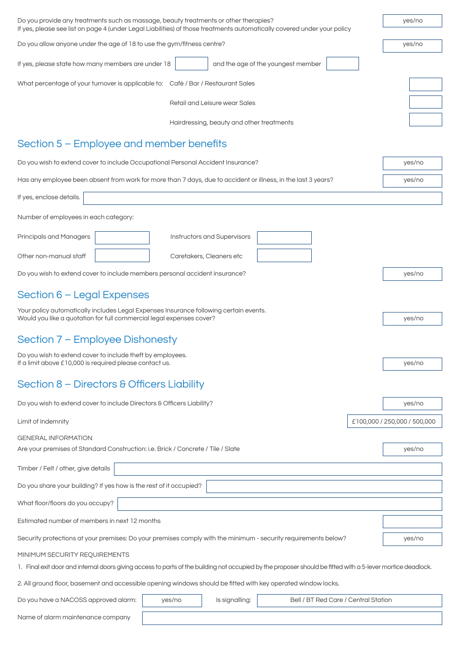| Do you provide any treatments such as massage, beauty treatments or other therapies?<br>If yes, please see list on page 4 (under Legal Liabilities) of those treatments automatically covered under your policy |        |                                           | yes/no                               |        |                              |  |
|-----------------------------------------------------------------------------------------------------------------------------------------------------------------------------------------------------------------|--------|-------------------------------------------|--------------------------------------|--------|------------------------------|--|
| Do you allow anyone under the age of 18 to use the gym/fitness centre?                                                                                                                                          |        |                                           |                                      | yes/no |                              |  |
| If yes, please state how many members are under 18                                                                                                                                                              |        |                                           | and the age of the youngest member   |        |                              |  |
| What percentage of your turnover is applicable to: Café / Bar / Restaurant Sales                                                                                                                                |        |                                           |                                      |        |                              |  |
| Retail and Leisure wear Sales                                                                                                                                                                                   |        |                                           |                                      |        |                              |  |
|                                                                                                                                                                                                                 |        | Hairdressing, beauty and other treatments |                                      |        |                              |  |
| Section 5 – Employee and member benefits                                                                                                                                                                        |        |                                           |                                      |        |                              |  |
| Do you wish to extend cover to include Occupational Personal Accident Insurance?                                                                                                                                |        |                                           | yes/no                               |        |                              |  |
| Has any employee been absent from work for more than 7 days, due to accident or illness, in the last 3 years?                                                                                                   |        |                                           | yes/no                               |        |                              |  |
| If yes, enclose details.                                                                                                                                                                                        |        |                                           |                                      |        |                              |  |
| Number of employees in each category:                                                                                                                                                                           |        |                                           |                                      |        |                              |  |
| Principals and Managers                                                                                                                                                                                         |        | Instructors and Supervisors               |                                      |        |                              |  |
| Other non-manual staff                                                                                                                                                                                          |        | Caretakers, Cleaners etc                  |                                      |        |                              |  |
| Do you wish to extend cover to include members personal accident insurance?                                                                                                                                     |        |                                           | yes/no                               |        |                              |  |
| Section 6 - Legal Expenses                                                                                                                                                                                      |        |                                           |                                      |        |                              |  |
| Your policy automatically includes Legal Expenses Insurance following certain events.<br>Would you like a quotation for full commercial legal expenses cover?                                                   |        |                                           | yes/no                               |        |                              |  |
| Section 7 – Employee Dishonesty                                                                                                                                                                                 |        |                                           |                                      |        |                              |  |
| Do you wish to extend cover to include theft by employees.                                                                                                                                                      |        |                                           |                                      |        |                              |  |
| If a limit above £10,000 is required please contact us.                                                                                                                                                         |        |                                           |                                      |        | yes/no                       |  |
| Section 8 - Directors & Officers Liability                                                                                                                                                                      |        |                                           |                                      |        |                              |  |
| Do you wish to extend cover to include Directors & Officers Liability?                                                                                                                                          |        |                                           | yes/no                               |        |                              |  |
| Limit of Indemnity                                                                                                                                                                                              |        |                                           |                                      |        | £100,000 / 250,000 / 500,000 |  |
| <b>GENERAL INFORMATION</b>                                                                                                                                                                                      |        |                                           |                                      |        |                              |  |
| Are your premises of Standard Construction: i.e. Brick / Concrete / Tile / Slate<br>yes/no                                                                                                                      |        |                                           |                                      |        |                              |  |
| Timber / Felt / other, give details                                                                                                                                                                             |        |                                           |                                      |        |                              |  |
| Do you share your building? If yes how is the rest of it occupied?                                                                                                                                              |        |                                           |                                      |        |                              |  |
| What floor/floors do you occupy?                                                                                                                                                                                |        |                                           |                                      |        |                              |  |
| Estimated number of members in next 12 months                                                                                                                                                                   |        |                                           |                                      |        |                              |  |
| Security protections at your premises: Do your premises comply with the minimum - security requirements below?                                                                                                  |        |                                           | yes/no                               |        |                              |  |
| MINIMUM SECURITY REQUIREMENTS                                                                                                                                                                                   |        |                                           |                                      |        |                              |  |
| 1. Final exit door and internal doors giving access to parts of the building not occupied by the proposer should be fitted with a 5-lever mortice deadlock.                                                     |        |                                           |                                      |        |                              |  |
| 2. All ground floor, basement and accessible opening windows should be fitted with key operated window locks.                                                                                                   |        |                                           |                                      |        |                              |  |
| Do you have a NACOSS approved alarm:                                                                                                                                                                            | yes/no | Is signalling:                            | Bell / BT Red Care / Central Station |        |                              |  |
| Name of alarm maintenance company                                                                                                                                                                               |        |                                           |                                      |        |                              |  |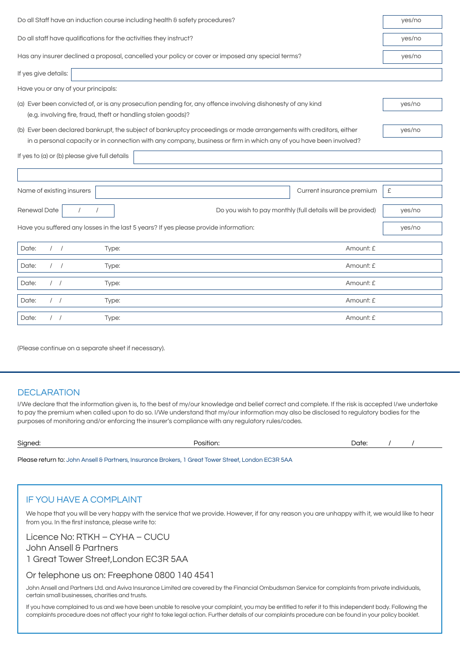| Do all Staff have an induction course including health & safety procedures?                                                                                                                                                              | yes/no |  |  |  |  |  |  |
|------------------------------------------------------------------------------------------------------------------------------------------------------------------------------------------------------------------------------------------|--------|--|--|--|--|--|--|
| Do all staff have qualifications for the activities they instruct?                                                                                                                                                                       |        |  |  |  |  |  |  |
| Has any insurer declined a proposal, cancelled your policy or cover or imposed any special terms?                                                                                                                                        | yes/no |  |  |  |  |  |  |
| If yes give details:                                                                                                                                                                                                                     |        |  |  |  |  |  |  |
| Have you or any of your principals:                                                                                                                                                                                                      |        |  |  |  |  |  |  |
| (a) Ever been convicted of, or is any prosecution pending for, any offence involving dishonesty of any kind<br>(e.g. involving fire, fraud, theft or handling stolen goods)?                                                             |        |  |  |  |  |  |  |
| (b) Ever been declared bankrupt, the subject of bankruptcy proceedings or made arrangements with creditors, either<br>in a personal capacity or in connection with any company, business or firm in which any of you have been involved? | yes/no |  |  |  |  |  |  |
| If yes to (a) or (b) please give full details                                                                                                                                                                                            |        |  |  |  |  |  |  |
|                                                                                                                                                                                                                                          |        |  |  |  |  |  |  |
| Name of existing insurers<br>Current insurance premium                                                                                                                                                                                   | £      |  |  |  |  |  |  |
| Renewal Date<br>Do you wish to pay monthly (full details will be provided)                                                                                                                                                               | yes/no |  |  |  |  |  |  |
| Have you suffered any losses in the last 5 years? If yes please provide information:                                                                                                                                                     | yes/no |  |  |  |  |  |  |
| $\left  \right $<br>Date:<br>Amount: £<br>Type:                                                                                                                                                                                          |        |  |  |  |  |  |  |
| Amount: £<br>Date:<br>$\left  \right $<br>Type:                                                                                                                                                                                          |        |  |  |  |  |  |  |
| Date:<br>1 <sup>1</sup><br>Amount: £<br>Type:                                                                                                                                                                                            |        |  |  |  |  |  |  |
| Date:<br>Amount: £<br>$\left  \right $<br>Type:                                                                                                                                                                                          |        |  |  |  |  |  |  |
| Date:<br>Amount: £<br>$\left  \right $<br>Type:                                                                                                                                                                                          |        |  |  |  |  |  |  |

(Please continue on a separate sheet if necessary).

# **DECLARATION**

I/We declare that the information given is, to the best of my/our knowledge and belief correct and complete. If the risk is accepted I/we undertake to pay the premium when called upon to do so. I/We understand that my/our information may also be disclosed to regulatory bodies for the purposes of monitoring and/or enforcing the insurer's compliance with any regulatory rules/codes.

| Signed: | .<br>Position: | Date: |  |
|---------|----------------|-------|--|
|         |                |       |  |

Please return to: John Ansell & Partners, Insurance Brokers, 1 Great Tower Street, London EC3R 5AA

# IF YOU HAVE A COMPLAINT

We hope that you will be very happy with the service that we provide. However, if for any reason you are unhappy with it, we would like to hear from you. In the first instance, please write to:

Licence No: RTKH – CYHA – CUCU

John Ansell & Partners

1 Great Tower Street,London EC3R 5AA

#### Or telephone us on: Freephone 0800 140 4541

John Ansell and Partners Ltd. and Aviva Insurance Limited are covered by the Financial Ombudsman Service for complaints from private individuals, certain small businesses, charities and trusts.

If you have complained to us and we have been unable to resolve your complaint, you may be entitled to refer it to this independent body. Following the complaints procedure does not affect your right to take legal action. Further details of our complaints procedure can be found in your policy booklet.